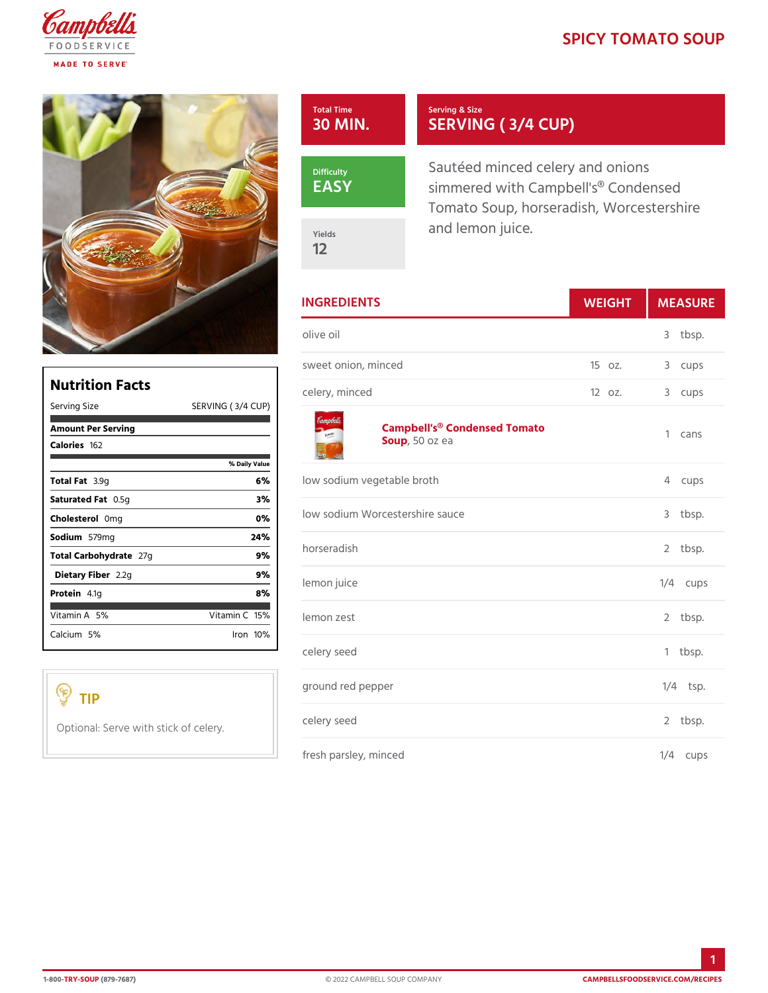## SPICY TOMATO S

| Total Time<br>$30$ MIN. | Serving & Size<br>SERVING (3/4 CUP)                                                              |  |
|-------------------------|--------------------------------------------------------------------------------------------------|--|
| Difficulty<br>EASY      | Sautéed minced celery and onio<br>simmered with Campbell's® Con<br>Tomato Soup, horseradish, Wor |  |
| Yields<br>12            | and lemon juice.                                                                                 |  |

|                               | <b>INGREDIENTS</b>                            | WEIGH    | <b>MEASU</b>                   |
|-------------------------------|-----------------------------------------------|----------|--------------------------------|
|                               | olive oil                                     |          | 3<br>tbsp.                     |
|                               | sweet onion, minced                           | 15 oz.   | 3<br>cups                      |
| :RVING (3 /4 C <del>UP)</del> | celery, minced                                | $120z$ . | 3<br>cups                      |
|                               | Campbell's® Condensed Tomato<br>Sou,p50 oz ea |          | $\mathbf{1}$<br>cans           |
| % Daily Value<br>6 %          | low sodium vegetable broth                    |          | $\overline{4}$<br>cups         |
| 3%<br>$0\%$                   | low sodium Worcestershire sauce               |          | tbsp.<br>3                     |
| 24%<br>9%                     | horseradish                                   |          | tbsp.<br>$\mathbf{2}^{\prime}$ |
| 9%<br>8%                      | lemon juice                                   |          | $1/4$ cups                     |
| Vitamin16 <sup>%</sup>        | lemon zest                                    |          | 2 tbsp.                        |
| $l$ ron $10\%$                | celery seed                                   |          | $1$ tbsp.                      |
|                               | ground red pepper                             |          | $1/4$ tsp.                     |
|                               | th stick $\phi$ f celery seed                 |          | 2 tbsp.                        |
|                               | fresh parsley, minced                         |          | $1/4$ cups                     |

# Nutrition Facts Serving Size SE Amount Per Serving  $C$ aloriels $62$  $Total F3.19g$ Saturated OF.5g Choleste@omlg Sodium 579mg Total Carbohy2d7gte Dietary F21b2eg  $Prote$ i $4.1g$  $V$ itamin 5 $A$  6 Calcium 5 %

## TIP

Optional: Serve wi

1